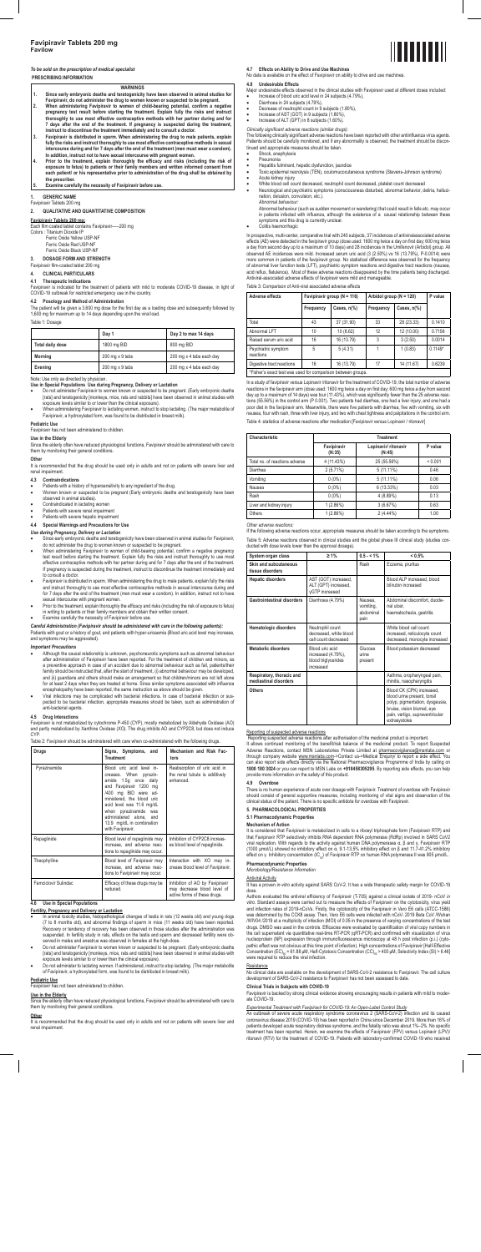## *To be sold on the prescription of medical specialist*

# **PRESCRIBING INFORMATION**

- **WARNINGS 1. Since early embryonic deaths and teratogenicity have been observed in animal studies for**
- **Favipiravir, do not administer the drug to women known or suspected to be pregnant.**
- **2. When administering Favipiravir to women of child-bearing potential, confirm a negative pregnancy test result before starting the treatment. Explain fully the risks and instruct thoroughly to use most effective contraceptive methods with her partner during and for**  7 days after the end of the treatment. If pregnancy is suspected during the treatment,<br>instruct to discontinue the treatment immediately and to consult a doctor.<br>3. Favipiravir is distributed in sperm. When administering t
- fully the risks and instruct thoroughly to use most effective contraceptive methods in sexual<br>intercourse during and for 7 days after the end of the treatment (men must wear a condom).<br>In addition, instruct not to have sex
- 4. Prior to the treatment, explain thoroughly the efficacy and risks (including the risk of<br>exposure to fetus) to patients or their family members and written informed consent from<br>each patient/ or his representative prior **the prescriber.**
- **5. Examine carefully the necessity of Favipiravir before use.**

### **1. GENERIC NAME**

Favipiravir Tablets 200 mg

## **2. QUALITATIVE AND QUANTITATIVE COMPOSITION**

## **Favipiravir Tablets 200 mg:**

Each film coated tablet contains Favipiravir-----200 mg Colors : Titanium Dioxide IP

- Ferric Oxide Yellow USP-NF Ferric Oxide Red USP-NF
- Ferric Oxide Black USP-NF

It is recommended that the drug should be used only in adults and not on patients with severe liver and renal impairment.

- 
- Patients with a history of hypersensitivity to any ingredient of the drug. Women known or suspected to be pregnant (Early embryonic deaths and teratogenicity have been observed in animal studies).
- Contraindicated in lactating women
- Patients with severe renal impairment
- Patients with severe hepatic impairment

**3. DOSAGE FORM AND STRENGTH** 

## Favipiravir film-coated tablet 200 mg

**4. CLINICAL PARTICULARS** 

**4.1 Therapeutic Indications**<br>Favipiravir is indicated for the treatment of patients with mild to moderate COVID-19 disease, in light of<br>COVID-19 outbreak for restricted emergency use in the country.

### **4.2 Posology and Method of Administration**

The patient will be given a 3,600 mg dose for the first day as a loading dose and subsequently followed by 1,600 mg for maximum up to 14 days depending upon the viral load.

#### Table 1: Dosage

|                  | Day 1           | Day 2 to max 14 days     |
|------------------|-----------------|--------------------------|
| Total daily dose | 1800 mg BID     | 800 mg BID               |
| <b>Morning</b>   | 200 mg x 9 tabs | 200 mg x 4 tabs each day |
| Evening          | 200 mg x 9 tabs | 200 mg x 4 tabs each day |

Note: Use only as directed by physician.

- Since early embryonic deaths and teratogenicity have been observed in animal studies for Favipiravir,
- do not administer the drug to women known or suspected to be pregnant.<br>When administering Favipiravir to women of child-bearing potential, confirm a negative pregnancy<br>test result before starting the treatment. Explain ful effective contraceptive methods with her partner during and for 7 days after the end of the treatment.<br>If pregnancy is suspected during the treatment, instruct to discontinue the treatment immediately and to consult a doctor.
- Favipiravir is distributed in sperm. When administering the drug to male patients, explain fully the risks and instruct thoroughly to use most effective contraceptive methods in sexual intercourse during and for 7 days after the end of the treatment (men must wear a condom). In addition, instruct not to have
- sexual intercourse with pregnant women. Prior to the treatment, explain thoroughly the efficacy and risks (including the risk of exposure to fetus) in writing to patients or their family members and obtain their written consent.

## Examine carefully the necessity of Favipiravir before use.

- 
- **Use in Special Populations Use during Pregnancy, Delivery or Lactation**  Do not administer Favipiravir to women known or suspected to be pregnant. (Early embryonic deaths [rats] and teratogenicity [monkeys, mice, rats and rabbits] have been observed in animal studies with exposure levels similar to or lower than the clinical exposure).
- When administering Favipiravir to lactating women, instruct to stop lactating. (The major metabolite of Favipiravir, a hydroxylated form, was found to be distributed in breast milk).

### **Pediatric Use**

Favipiravir has not been administered to children.

**4.5 Drug Interactions**  s not metabolized by cytochrome P-450 (CYP), mostly metabolized by Aldehyde Oxidase (AO) and partly metabolized by Xanthine Oxidase (XO). The drug inhibits AO and CYP2C8, but does not induce **CYP** 

**Use in the Elderly**  Since the elderly often have reduced physiological functions, Favipiravir should be administered with care to them by monitoring their general conditions.

### **Other**

### **4.3 Contraindications**

## **4.4 Special Warnings and Precautions for Use**

## *Use during Pregnancy, Delivery or Lactation*

It is recommended that the drug should be used only in adults and not on patients with severe liver and renal impairment.

#### **4.7 Effects on Ability to Drive and Use Machines**  ata is available on the effect of Favipiravir on ability to drive and use

Abnormal behaviour (such as sudden movement or wandering) that could result in falls etc. may occur in patients infected with influenza, although the existence of a causal relationship between these ptoms and this drug is currently unclear

*Careful Administration (Favipiravir should be administered with care in the following patients):*  Patients with gout or a history of gout, and patients with hyper-uricaemia (Blood uric acid level may increase, and symptoms may be aggravated).

### *Important Precautions*

- Although the causal relationship is unknown, psychoneurotic symptoms such as abnormal behaviour after administration of Favipiravir have been reported. For the treatment of children and minors, as a preventive approach in case of an accident due to abnormal behaviour such as fall, patients/their family should be instructed that, after the start of treatment, (i) abnormal behaviour may be developed, and (ii) guardians and others should make an arrangement so that children/minors are not left alone st 2 days when they are treated at home. Since similar symptoms associated with influenza encephalopathy have been reported, the same instruction as above should be given.
- Viral infections may be complicated with bacterial infections. In case of bacterial infection or sus-pected to be bacterial infection, appropriate measures should be taken, such as administration of anti-bacterial agents.

In a study of favipiravir versus Lopinavir /ritonavir for the treatment of COVID-19, the total number of adverse reactions in the favipiravir arm (dose used: 1600 mg twice a day on first day; 600 mg twice a day from second day up to a maximum of 14 days) was tour (11.43%), which was significantly fewer than the 25 adverse reactions (55.56%) in the control arm (P 0.001). Two patients had diarrhea, one had a liver injury, and one had a poor diet in the favipiravir arm. Meanwhile, there were five patients with diarrhea, five with vomiting, six with nausea, four with rash, three with liver injury, and two with chest tightness and palpitations in the control arm. Table 4: statistics of adverse reactions after medication [Favipiravir versus Lopinavir / ritonavir]

### Table 2: Favipiravir should be administered with care when co-administered with the following drugs.

| Drugs                | Signs, Symptoms, and<br><b>Treatment</b>                                                                                                                                                                                                                                                            | Mechanism and Risk Fac-<br>tors                                                                |
|----------------------|-----------------------------------------------------------------------------------------------------------------------------------------------------------------------------------------------------------------------------------------------------------------------------------------------------|------------------------------------------------------------------------------------------------|
| Pyrazinamide         | Blood uric acid level in-<br>creases. When pyrazin-<br>amide 1.5q once daily<br>and Favipiravir 1200 mg<br>mg BID were ad-<br>/400<br>ministered, the blood uric<br>acid level was 11.6 mg/dL<br>when pyrazinamide was<br>administered alone, and<br>13.9 mg/dL in combination<br>with Favipiravir. | Reabsorption of uric acid in<br>the renal tubule is additively<br>enhanced.                    |
| Repaglinide          | Blood level of repaglinide may<br>increase, and adverse reac-<br>tions to repaglinide may occur.                                                                                                                                                                                                    | Inhibition of CYP2C8 increas-<br>es blood level of repaglinide.                                |
| Theophylline         | Blood level of Favipiravir may<br>increase, and adverse reac-<br>tions to Favipiravir may occur.                                                                                                                                                                                                    | Interaction with XO may in-<br>crease blood level of Favipiravir.                              |
| Famciclovir Sulindac | Efficacy of these drugs may be<br>reduced.                                                                                                                                                                                                                                                          | Inhibition of AO by Favipiravir<br>may decrease blood level of<br>active forms of these drugs. |

Reporting suspected adverse reactions after authorisation of the medicinal product is important.<br>It allows continued monitoring of the benefit/risk balance of the medicinal product. To report Suspected<br>Adverse Reactions, c through company website <u>www.msnlabs.com</u>->Contact us->Medical Enquiry/ to report a side effect. You<br>can also report side effects directly via the National Pharmacovigilance Programme of India by calling on<br>**1800 180 3024** provide more information on the safety of this product.

## **4.6 Use in Special Populations**

- **Fertility, Pregnancy and Delivery or Lactation** In animal toxicity studies, histopathological changes of testis in rats (12 weeks old) and young dogs (7 to 8 months old), and abnormal findings of sperm in mice (11 weeks old) have been reported.<br>Recovery or tendency of recovery has been observed in those studies after the administration was<br>suspended. In fertility study
- served in males and anestrus was observed in females at the high-dose.<br>● D not administer Favipiravir to women known or suspected to be pregnant. (Early embryonic deaths<br>frats] and teratogenicity [monkeys, mice, rats and exposure levels similar to or lower than the clinical exposure).
- Do not administer to lactating women. If administered, instruct to stop lactating. (The major metabolite of Favipiravir, a hydroxylated form, was found to be distributed in breast milk).

dose. Authors evaluated the antiviral efficiency of Favipiravir (T-705) against a clinical isolate of 2019- nCoV *in vitro*. Standard assays were carried out to measure the effects of Favipiravir on the cytotoxicity, virus yield<br>and infection rates of 2019-nCoVs. Firstly, the cytotoxicity of the Favipiravir in Vero E6 cells (ATCC-1586) was determined by the CCK8 assay. Then, Vero E6 cells were infected with nCoV- 2019 Beta CoV /Wuhan<br>/WIV04 /2019 at a multiplicity of infection (MOI) of 0.05 in the presence of varying concentrations of the test<br>drugs. DMS the cell supernatant via quantitative real-time RT-PCR (qRT-PCR) and confirmed with visualization of virus nucleoprotein (NP) expression through immunofluorescence microscopy at 48 h post infection (p.i.) (cyto-pathic effect was not obvious at this time point of infection). High concentrations of Favipiravir [Half-Effective Concentration (EC)<sub>so</sub> = 61.88 μM, Half-Cytotoxic Concentration (CC)<sub>so</sub> > 400 μM, Selectivity Index (SI) > 6.46]<br>were required to reduce the viral infection.

## **Resistance**

### **Pediatric Use**

Favipiravir has not been administered to children.

**Use in the Elderly** Since the elderly often have reduced physiological functions, Favipiravir should be administered with care to them by monitoring their general conditions.

### **Other**

# **4.8 Undesirable Effects**

- Major undesirable effects observed in the clinical studies with Favipiravir used at different doses included: • Increase of blood uric acid level in 24 subjects (4.79%),
- Diarrhoea in 24 subjects (4.79%),
- Decrease of neutrophil count in 9 subjects (1.80%),
- Increase of AST (GOT) in 9 subjects (1.80%), Increase of ALT (GPT) in 8 subjects (1.60%).
- 

*Clinically significant adverse reactions (similar drugs):*  The following clinically significant adverse reactions have been reported with other antiinfluenza virus agents. Patients should be carefully monitored, and if any abnormality is observed, the treatment should be discontinued and appropriate measures should be taken. • Shock, anaphylaxis

• Pneumonia

- Hepatitis fulminant, hepatic dysfunction, jaundice
- Toxic epidermal necrolysis (TEN), oculomucocutaneous syndrome (Stevens-Johnson syndrome)
- Acute kidney injury • White blood cell count decreased, neutrophil count decreased, platelet count decreased • Neurological and psychiatric symptoms (consciousness disturbed, abnormal behavior, deliria, halluci-
- nation, delusion, convulsion, etc.).
- *Abnormal behaviour:*

• Colitis haemorrhagic

In prospective, multi-center, comparative trial with 240 subjects, 37 incidences of antiviralassociated adverse effects (AE) were detected in the favipiravir group (dose used: 1600 mg twice a day on first day; 600 mg twice<br>a day from second day up to a maximum of 10 days) and 28 incidences in the Umifenovir (Arbidol) group. All<br>obse more common in patients of the favipiravir group. No statistical difference was observed for the frequency<br>of abnormal liver function tests (LFT), psychiatric symptom reactions and digestive tract reactions (nausea,<br>acid r Antiviral-associated adverse effects of favipiravir were mild and manageable.

#### Table 3: Comparison of Anti-viral associated adverse effects

| Adverse effects                                              |           | Favipiravir group (N = 116) | Arbidol group ( $N = 120$ ) |                       | P value   |  |  |
|--------------------------------------------------------------|-----------|-----------------------------|-----------------------------|-----------------------|-----------|--|--|
|                                                              | Frequency | Cases, n(%)                 | Frequency                   | Cases, $n\frac{9}{6}$ |           |  |  |
| Total                                                        | 43        | 37 (31.90)                  | 33                          | 28 (23.33)            | 0.1410    |  |  |
| Abnormal LFT                                                 | 10        | 10 (8.62)                   | 12                          | 12 (10.00)            | 0.7156    |  |  |
| Raised serum uric acid                                       | 16        | 16 (13.79)                  | 3                           | 3(2.50)               | 0.0014    |  |  |
| Psychiatric symptom<br>reactions                             | 5         | 5(4.31)                     |                             | 1(0.83)               | $0.1149*$ |  |  |
| Digestive tract reactions                                    | 16        | 16 (13.79)                  | 17                          | 14 (11.67)            | 0.6239    |  |  |
| *Fisher's exact test was used for comparison between groups. |           |                             |                             |                       |           |  |  |

| Characteristic                 | <b>Treatment</b>      |                                |         |  |  |
|--------------------------------|-----------------------|--------------------------------|---------|--|--|
|                                | Favipiravir<br>(N:35) | Lopinavir/ ritonavir<br>(N:45) | P value |  |  |
| Total no, of reactions adverse | 4 (11.43%)            | 25 (55.56%)                    | < 0.001 |  |  |
| Diarrhea                       | 2(5.71%)              | $5(11.11\%)$                   | 0.46    |  |  |
| Vomitina                       | $0(0\%)$              | $5(11.11\%)$                   | 0.06    |  |  |
| Nausea                         | $0(0\%)$              | 6 (13.33%)                     | 0.03    |  |  |
| Rash                           | $0(0\%)$              | 4 (8.89%)                      | 0.13    |  |  |
| Liver and kidney injury        | 1(2.86%)              | 3(6.67%)                       | 0.63    |  |  |
| Others                         | 1(2.86%)              | 2 (4.44%)                      | 1.00    |  |  |

#### *Other adverse reactions:*

If the following adverse reactions occur, appropriate measures should be taken according to the symptoms. Table 5: Adverse reactions observed in clinical studies and the global phase III clinical study (studies con-ducted with dose levels lower than the approval dosage).

| System organ class                                 | $\geq 1\%$                                                                | $0.5 - 1\%$                               | < 0.5%                                                                                                                                                                         |
|----------------------------------------------------|---------------------------------------------------------------------------|-------------------------------------------|--------------------------------------------------------------------------------------------------------------------------------------------------------------------------------|
| Skin and subcutaneous<br>tissue disorders          |                                                                           | Rash                                      | Eczema, pruritus                                                                                                                                                               |
| <b>Hepatic disorders</b>                           | AST (GOT) increased,<br>ALT (GPT) increased,<br>vGTP increased            |                                           | Blood ALP increased, blood<br>bilirubin increased                                                                                                                              |
| Gastrointestinal disorders                         | Diarrhoea (4.79%)                                                         | Nausea.<br>vomiting,<br>abdominal<br>pain | Abdominal discomfort, duode-<br>nal ulcer.<br>haematochezia, gastritis                                                                                                         |
| Hematologic disorders                              | Neutrophil count<br>decreased, white blood<br>cell count decreased        |                                           | White blood cell count<br>increased, reticulocyte count<br>decreased, monocyte increased                                                                                       |
| Metabolic disorders                                | Blood uric acid<br>increased (4.79%),<br>blood triglycerides<br>increased | Glucose<br>urine<br>present               | Blood potassium decreased                                                                                                                                                      |
| Respiratory, thoracic and<br>mediastinal disorders |                                                                           |                                           | Asthma, oropharyngeal pain,<br>rhinitis, nasopharyngitis                                                                                                                       |
| <b>Others</b>                                      |                                                                           |                                           | Blood CK (CPK) increased,<br>blood urine present, tonsil<br>polyp, pigmentation, dysgeusia,<br>bruise, vision blurred, eye<br>pain, vertigo, supraventricular<br>extrasystoles |

#### Reporting of suspected adverse reactions

**4.9 Overdose** 



There is no human experience of acute over dosage with Favipiravir. Treatment of overdose with Favipiravir should consist of general supportive measures, including monitoring of vital signs and observation of the clinical status of the patient. There is no specific antidote for overdose with Favipiravir.

## **5. PHARMACOLOGICAL PROPERTIES**

**5.1 Pharmacodynamic Properties** 

## **Mechanism of Action**

It is considered that Favipiravir is metabolized in cells to a ribosyl triphosphate form (Favipiravir RTP) and that Favipiravir RTP selectively inhibits RNA dependent RNA polymerase (RdRp) involved in SARS CoV2<br>viral replication. With regards to the activity against human DNA polymerases α, β and γ, Favipiravir RTP<br>(1000 μmol/L) s effect on γ. Inhibitory concentration (IC<sub>50</sub>) of Favipiravir RTP on human RNA polymerase II was 905 μmol/L.

## **Pharmacodynamic Properties**

*Microbiology/Resistance Information* 

## Antiviral Activity

It has a proven *in-vitro* activity against SARS CoV-2. It has a wide therapeutic safety margin for COVID-19

No clinical data are available on the development of SARS-CoV-2 resistance to Favipiravir. The cell culture development of SARS-CoV-2 resistance to Favipiravir has not been assessed to date.

## **Clinical Trials in Subjects with COVID-19**

Favipiravir is backed by strong clinical evidence showing encouraging results in patients with mild to moderate COVID-19.

## ental Treatment with Favipiravir for COVID-19: An Open-Label

An outbreak of severe acute respiratory syndrome coronavirus 2 (SARS-CoV-2) infection and its caused coronavirus disease 2019 (COVID-19) has been reported in China since December 2019. More than 16% of patients developed acute respiratory distress syndrome, and the fatality ratio was about 1%–2%. No specific treatment has been reported. Herein, we examine the effects of Favipiravir (FPV) versus Lopinavir (LPV)/ ritonavir (RTV) for the treatment of COVID-19. Patients with laboratory-confirmed COVID-19 who received